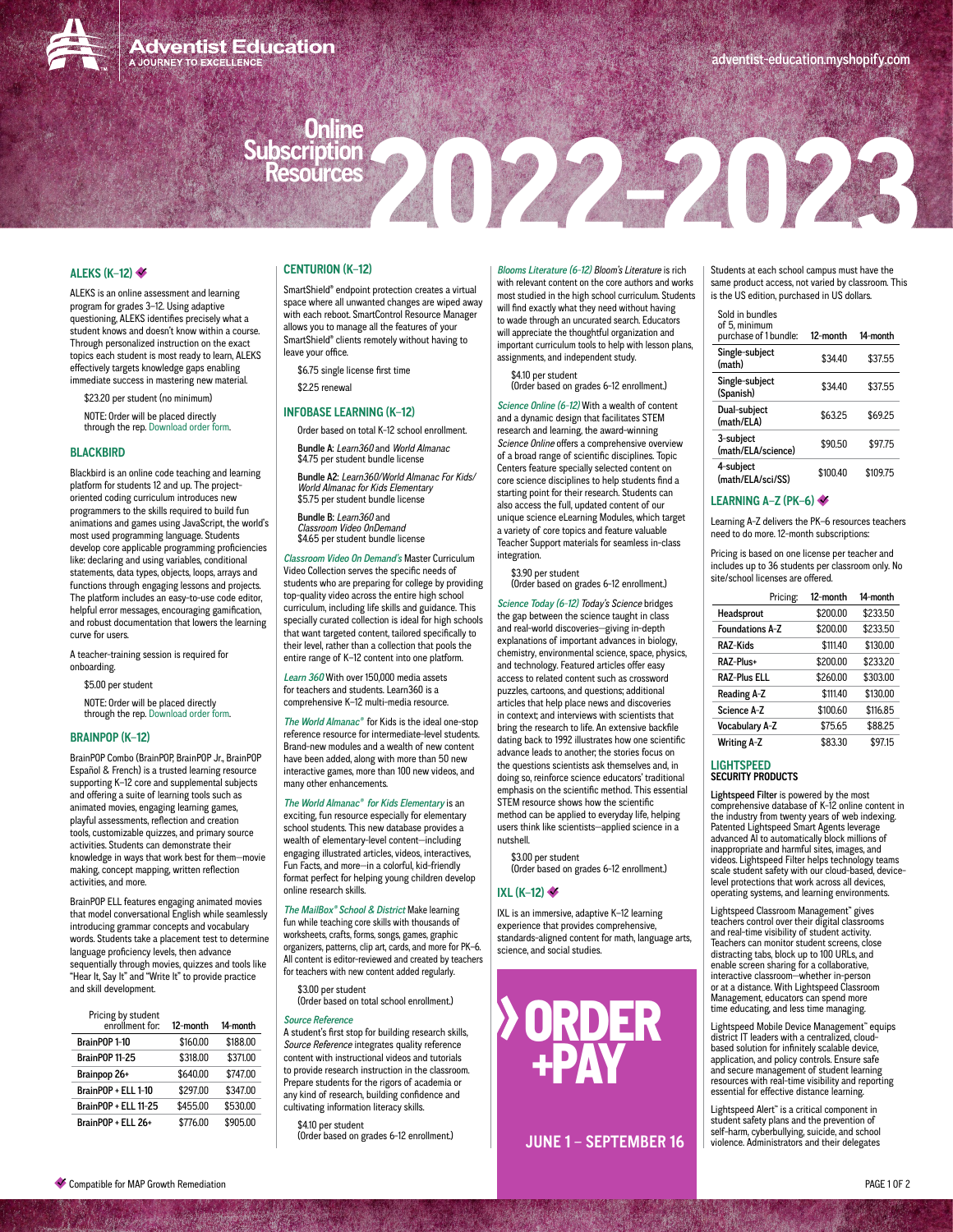

**Adventist Education** A JOURNEY TO EXCELLENC

# **Online Subscription**

# **[ALEKS \(K–12\)](https://www.aleks.com)**

ALEKS is an online assessment and learning program for grades 3–12. Using adaptive questioning, ALEKS identifies precisely what a student knows and doesn't know within a course. Through personalized instruction on the exact topics each student is most ready to learn, ALEKS effectively targets knowledge gaps enabling immediate success in mastering new material.

\$23.20 per student (no minimum) NOTE: Order will be placed directly through the rep. [Download order form](https://docs.google.com/spreadsheets/d/1sjvnpV4ty7dzcphPdco5qfG9w05SJqkJaf5dSUVBE7s/edit?usp=sharing).

# **[BLACKBIRD](https://www.blackbirdcode.com)**

Blackbird is an online code teaching and learning platform for students 12 and up. The projectoriented coding curriculum introduces new programmers to the skills required to build fun animations and games using JavaScript, the world's most used programming language. Students develop core applicable programming proficiencies like: declaring and using variables, conditional statements, data types, objects, loops, arrays and functions through engaging lessons and projects. The platform includes an easy-to-use code editor, helpful error messages, encouraging gamification, and robust documentation that lowers the learning curve for users.

A teacher-training session is required for onboarding.

\$5.00 per student

NOTE: Order will be placed directly through the rep. [Download order form](https://drive.google.com/file/d/1R8GGehalUClS45nPKOscUs9sSprHm1sc/view?usp=sharing).

## **[BRAINPOP \(K–12\)](https://www.brainpop.com/)**

BrainPOP Combo (BrainPOP, BrainPOP Jr., BrainPOP Español & French) is a trusted learning resource supporting K–12 core and supplemental subjects and offering a suite of learning tools such as animated movies, engaging learning games, playful assessments, reflection and creation tools, customizable quizzes, and primary source activities. Students can demonstrate their knowledge in ways that work best for them—movie making, concept mapping, written reflection activities, and more.

BrainPOP ELL features engaging animated movies that model conversational English while seamlessly introducing grammar concepts and vocabulary words. Students take a placement test to determine language proficiency levels, then advance sequentially through movies, quizzes and tools like "Hear It, Say It" and "Write It" to provide practice and skill development.

| Pricing by student<br>enrollment for: | 12-month | 14-month |
|---------------------------------------|----------|----------|
| BrainPOP 1-10                         | \$160.00 | \$188.00 |
| <b>BrainPOP 11-25</b>                 | \$318.00 | \$371.00 |
| Brainpop 26+                          | \$640.00 | \$747.00 |
| BrainPOP + ELL 1-10                   | \$297.00 | \$347.00 |
| <b>BrainPOP + ELL 11-25</b>           | \$455.00 | \$530.00 |
| BrainPOP + ELL 26+                    | \$776.00 | \$905.00 |

# **[CENTURION \(K–12\)](http://centuriontech.com/products/smartshield-suite/)**

SmartShield® endpoint protection creates a virtual space where all unwanted changes are wiped away with each reboot. SmartControl Resource Manager allows you to manage all the features of your SmartShield<sup>®</sup> clients remotely without having to leave your office.

\$6.75 single license first time \$2.25 renewal

## **[INFOBASE LEARNING \(K–12\)](https://www.infobase.com/)**

Order based on total K-12 school enrollment. Bundle A: *Learn360* and *World Almanac* \$4.75 per student bundle license

Bundle A2: *Learn360/World Almanac For Kids/ World Almanac for Kids Elementary*  \$5.75 per student bundle license

Bundle B: *Learn360* and *Classroom Video OnDemand* \$4.65 per student bundle license

*[Classroom Video On Demand](http://www.infobasepublishing.com/StreamingSLLanding.aspx)'s* Master Curriculum Video Collection serves the specific needs of students who are preparing for college by providing top-quality video across the entire high school curriculum, including life skills and guidance. This specially curated collection is ideal for high schools that want targeted content, tailored specifically to their level, rather than a collection that pools the entire range of K–12 content into one platform.

*[Learn 360](http://marketing.learn360.com)* With over 150,000 media assets for teachers and students. Learn360 is a comprehensive K–12 multi-media resource.

*[The World Almanac®](https://www.infobase.com/product/schools/the-world-almanac-for-kids-online-2/)* for Kids is the ideal one-stop reference resource for intermediate-level students. Brand-new modules and a wealth of new content have been added, along with more than 50 new interactive games, more than 100 new videos, and many other enhancements.

# *[The World Almanac®](https://www.infobase.com/product/schools/the-world-almanac-for-kids-online-2/) for Kids Elementary* is an

exciting, fun resource especially for elementary school students. This new database provides a wealth of elementary-level content—including engaging illustrated articles, videos, interactives, Fun Facts, and more—in a colorful, kid-friendly format perfect for helping young children develop online research skills.

*[The MailBox® School & District](https://www.themailbox.com/)* Make learning fun while teaching core skills with thousands of worksheets, crafts, forms, songs, games, graphic organizers, patterns, clip art, cards, and more for PK–6. All content is editor-reviewed and created by teachers for teachers with new content added regularly.

\$3.00 per student (Order based on total school enrollment.)

*[Source Reference](https://www.infobase.com/product/high-schools/source-reference/)* A student's first stop for building research skills, *Source Reference* integrates quality reference content with instructional videos and tutorials to provide research instruction in the classroom.

\$4.10 per student (Order based on grades 6-12 enrollment.)

Prepare students for the rigors of academia or any kind of research, building confidence and cultivating information literacy skills.

*[Blooms Literature \(6-12\)](https://www.infobase.com/product/schools/blooms-literature-3/) Bloom's Literature* is rich with relevant content on the core authors and works most studied in the high school curriculum. Students will find exactly what they need without having to wade through an uncurated search. Educators will appreciate the thoughtful organization and important curriculum tools to help with lesson plans, assignments, and independent study.

**Resources2022-2023**

\$4.10 per student (Order based on grades 6-12 enrollment.)

*[Science Online \(6-12\)](https://www.infobase.com/product/schools/science-online-3/)* With a wealth of content and a dynamic design that facilitates STEM research and learning, the award-winning *Science Online* offers a comprehensive overview of a broad range of scientific disciplines. Topic Centers feature specially selected content on core science disciplines to help students find a starting point for their research. Students can also access the full, updated content of our unique science eLearning Modules, which target a variety of core topics and feature valuable Teacher Support materials for seamless in-class integration.

\$3.90 per student

(Order based on grades 6-12 enrollment.)

*[Science Today \(6-12\)](https://www.infobase.com/product/schools/todays-science-online/) Today's Science* bridges the gap between the science taught in class and real-world discoveries—giving in-depth explanations of important advances in biology, chemistry, environmental science, space, physics, and technology. Featured articles offer easy access to related content such as crossword puzzles, cartoons, and questions; additional articles that help place news and discoveries in context; and interviews with scientists that bring the research to life. An extensive backfile dating back to 1992 illustrates how one scientific advance leads to another; the stories focus on the questions scientists ask themselves and, in doing so, reinforce science educators' traditional emphasis on the scientific method. This essential STEM resource shows how the scientific method can be applied to everyday life, helping users think like scientists—applied science in a nutshell.

\$3.00 per student (Order based on grades 6-12 enrollment.)

## **[IXL \(K–12\)](https://www.ixl.com/)**

IXL is an immersive, adaptive K–12 learning experience that provides comprehensive, standards-aligned content for math, language arts, science, and social studies.



**JUNE 1 – SEPTEMBER 16**

Students at each school campus must have the same product access, not varied by classroom. This is the US edition, purchased in US dollars.

# Sold in bundles

| of 5, minimum<br>purchase of 1 bundle: | $12$ -month | 14-month |
|----------------------------------------|-------------|----------|
| Single-subject<br>(math)               | \$34.40     | \$37.55  |
| Single-subject<br>(Spanish)            | \$34.40     | \$37.55  |
| Dual-subject<br>(math/ELA)             | \$63.25     | \$69.25  |
| 3-subject<br>(math/ELA/science)        | \$90.50     | \$97.75  |
| 4-subject<br>(math/ELA/sci/SS)         | \$100.40    | \$109.75 |

#### **[LEARNING A–Z \(PK–6\)](https://www.learninga-z.com/site/products/)**

Learning A-Z delivers the PK–6 resources teachers need to do more. 12-month subscriptions:

Pricing is based on one license per teacher and includes up to 36 students per classroom only. No site/school licenses are offered.

| Pricing:               | 12-month | 14-month |
|------------------------|----------|----------|
| Headsprout             | \$200.00 | \$233.50 |
| <b>Foundations A-Z</b> | \$200.00 | \$233.50 |
| RAZ-Kids               | \$111.40 | \$130.00 |
| RAZ-Plus+              | \$200.00 | \$233.20 |
| <b>RAZ-Plus ELL</b>    | \$260.00 | \$303.00 |
| Reading A-Z            | \$111.40 | \$130.00 |
| Science A-Z            | \$100.60 | \$116.85 |
| <b>Vocabulary A-Z</b>  | \$75.65  | \$88.25  |
| <b>Writing A-Z</b>     | \$83.30  | \$97.15  |

#### **LIGHTSPEED SECURITY PRODUCTS**

Lightspeed Filter is powered by the most comprehensive database of K-12 online content in the industry from twenty years of web indexing. Patented Lightspeed Smart Agents leverage advanced AI to automatically block millions of inappropriate and harmful sites, images, and videos. Lightspeed Filter helps technology teams scale student safety with our cloud-based, devicelevel protections that work across all devices, operating systems, and learning environments.

Lightspeed Classroom Management™ gives teachers control over their digital classrooms and real-time visibility of student activity. Teachers can monitor student screens, close distracting tabs, block up to 100 URLs, and enable screen sharing for a collaborative, interactive classroom—whether in-person or at a distance. With Lightspeed Classroom Management, educators can spend more time educating, and less time managing.

Lightspeed Mobile Device Management™ equips district IT leaders with a centralized, cloudbased solution for infinitely scalable device, application, and policy controls. Ensure safe and secure management of student learning resources with real-time visibility and reporting essential for effective distance learning.

Lightspeed Alert<sup>™</sup> is a critical component in student safety plans and the prevention of self-harm, cyberbullying, suicide, and school violence. Administrators and their delegates